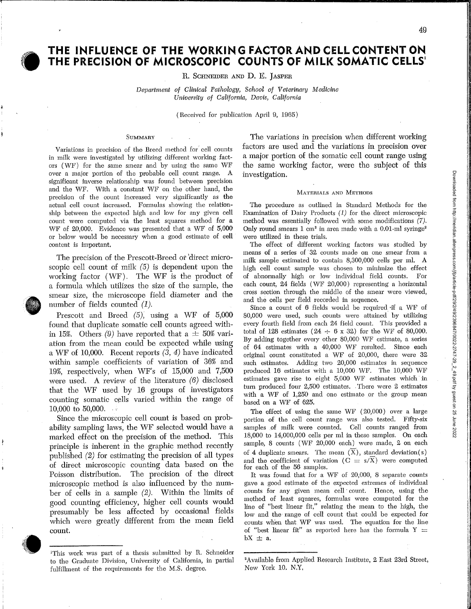# **O** T **THE INFLUENCE Of THE WORKING FACTORANDCELLCONTENTON THE PRECISION OF MICROSCOPIC COUNTS OF MILK SOMATIC CELLS!**

R. ScHNEIDER AND D. E. JASPER

*Department of Clinical Pathology, School of Veterinary Medicine University of California, Davis, California* 

(Received for publication April 9, 1965)

#### **SUMMARY**

Variations in precision of the Breed method for cell counts in milk were investigated by utilizing different working factors ( WF) for the same smear and by using the same WF over a major portion of the probable cell count range. A significant inverse relationship was found between precision and the WF. With a constant WF on the other hand, the precision of the count increased very significantly as the actual cell count increased. Formulas showing the relationship between the expected high and low for any given cell count were computed via the least squares method for a WF of 20,000. Evidence was presented that a WF of 5,000 or below would be necessary when a good estimate of eell content is important.

The precision of the Prescott-Breed or direct microscopic cell count of milk  $(5)$  is dependent upon the working factor ( WF) . The WF is the product of a formula which utilizes the size of the sample, the smear size, the microscope field diameter and the number of fields counted  $(1)$ .

Prescott and Breed (5), using a WF of 5,000 found that duplicate somatic cell counts agreed within 15%. Others (9) have reported that a  $\pm$  50% variation from the mean could be expected while using a WF of 10,000. Recent reports  $(\overline{3}, 4)$  have indicated within sample coefficients of variation of 36% and 19%, respectively, when WF's of 15,000 and 7,500 were used. A review of the literature (6) disclosed that the WF used by 16 groups of investigators counting somatic cells varied within the range of  $10,000$  to  $50,000$ .

Since the microscopic cell count is based on probability sampling laws, the WF selected would have a marked effect on the precision of the method. This principle is inherent in the graphic method recently published (2) for estimating the precision of all types of direct microscopic counting data based on the Poisson distribution. The precision of the direct microscopic method is also influenced by the number of cells in a sample (2). Within the limits of good counting efficiency, higher cell counts would presumably be less affected by occasional fields which were greatly different from the mean field count.



J

,------·------~--

The variations in precision when different working factors are used and the variations in precision over a major portion of the somatic cell count range using the same working factor, were the subject of this investigation.

#### MATERIALS AND METHODS

'The procedme as outlined in Standard Methods for the Examination of Dairy Products (1) for the direct microscopic method was essentially followed with some modifications (7). Only round smears  $1 \text{ cm}^2$  in area made with a 0.01-ml syringe<sup>2</sup> were utilized in these trials.

The effect of different working factors was studied by means of a series of 32 counts made on one smear from a milk sample estimated to contain 8,300,000 cells per mi. A high cell count sample was chosen to minimize the effect of abnormally high or low individual field counts. For each count, 24 fields ( WF 20,000) representing a horizontal cross section through the middle of the smear were viewed, and the cells per field recorded in sequence.

Since a count of 6 fields would be required ·if a WF of 80,000 were used, such counts were attained by utilizing every fourth field from each 24 field count. This provided a total of 128 estimates (24  $\div$  6 x 32) for the WF of 80,000. By adding together every other 80,000 vVF estimate, a series of 64, estimates with a 40,000 WF resulted. Since each original count constituted a WF of 20,000, there were 32 such estimates. Adding two 20,000 estimates in sequence produced 16 estimates with a 10,000 WF. The 10,000 WF estimates gave rise to eight 5,000 WF estimates which in turn produced four 2,500 estimates. . There were 2, estimates with a WF of 1,250 and one estimate or the group mean based on a WF of 625.

The effect of using the same WF ( 20,000) over a large portion of the cell count range was also tested. Fifty-six samples of milk were counted. Cell counts ranged from 18,000 to 14,000,000 cells per ml in these samples. On each sample, 8 counts (WF 20,000 each) were made, 2 on each of 4 duplicate smears. The mean  $(\overline{X})$ , standard deviation(s) and the coefficient of variation ( $C = s/\overline{X}$ ) were computed for each of the 56 samples.

It was found that for a WF of  $20,000$ , 8 separate counts gave a good estimate of the expected extremes of individual counts for any given mean cell count. Hence, using the method of least squares, formulas were computed for the line of "best linear fit," relating the mean to the high, the low and the range of cell count that could be expected for counts when that WF was used. The equation for the line of "best linear fit" as reported here has the formula  $Y =$  $bX \pm a$ .

۱l I I.

Downloaded from http://meridian.allenpress.com/jfp/article-pdf/29/2/49/2396847/0022-2747-29\_2\_49.pdf by guest on 25 June 2022 Downloaded from http://meridian.allenpress.com/jfp/article-pdf/29/2/49/2396847/0022-2747-29\_2\_49.pdf by guest on 25 June 2022

> I' i

**In the Company's Service** 

<sup>1</sup>This work was part of a thesis submitted by R. Schneider to the Graduate Division, University of California, in partial fulfilhnent of the requirements for the M.S. degree.

<sup>2</sup> Available from Applied Research Institute, 2, East 23rd Street, New York 10. N.Y.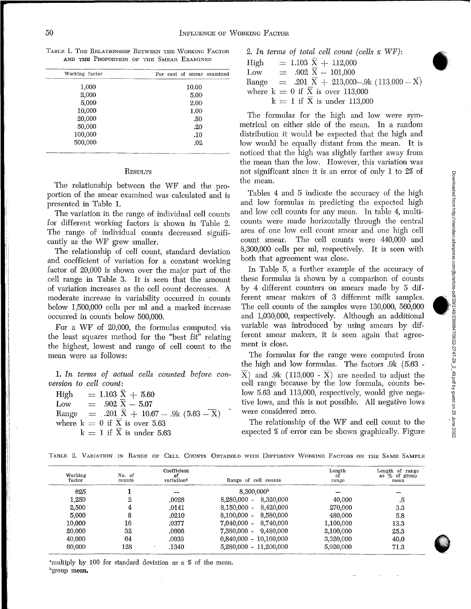|  | AND THE PROPORTION OF THE SMEAR EXAMINED |  |  |
|--|------------------------------------------|--|--|
|  |                                          |  |  |

| Per cent of smear examined |
|----------------------------|
| 10.00                      |
| 5.00                       |
| 2.00                       |
| 1.00                       |
| .50                        |
| .20                        |
| $.10\,$                    |
| .02                        |

#### **RESULTS**

The relationship between the WF and the proportion of the smear examined was calculated and is presented in Table 1.

The variation in the range of individual cell counts for different working factors is shown in Table 2. The range of individual counts decreased significantly as the WF grew smaller.

The relationship of cell count, standard deviation and coefficient of variation for a constant working factor of 20,000 is shown over the major part of the cell range in Table 3. It is seen that the amount of variation increases as the cell count decreases. A moderate increase in variability occurred in counts below 1,500,000 cells per ml and a marked increase occurred in counts below 500,000.

For a WF of 20,000, the formulas computed via the least squares method for the "best fit" relating the highest, lowest and range of cell count to the mean were as follows:

1. In terms of actual cells counted before con $version to cell count:$ 

| High | $= 1.103 \,\overline{X} + 5.60$                          |  |
|------|----------------------------------------------------------|--|
| Low  | $= .902$ X $- 5.07$                                      |  |
|      | Range = .201 $\bar{X}$ + 10.67 - .9k (5.63 - $\bar{X}$ ) |  |
|      | where $k = 0$ if $\overline{X}$ is over 5.63             |  |
|      | $k = 1$ if X is under 5.63                               |  |

2. In terms of total cell count (cells x WF):  
\nHigh = 1.103 
$$
\overline{X}
$$
 + 112,000  
\nLow = .902  $\overline{X}$  - 101,000  
\nRange = .201  $\overline{X}$  + 213,000-.9k (113,000 -  $\overline{X}$ )  
\nwhere k = 0 if  $\overline{X}$  is over 113,000  
\nk = 1 if  $\overline{X}$  is under 113,000

The formulas for the high and low were symmetrical on either side of the mean. In a random distribution it would be expected that the high and low would be equally distant from the mean. It is noticed that the high was slightly farther away from the mean than the low. However, this variation was not significant since it is an error of only 1 to 2% of the mean.

Tables 4 and S indicate the accuracy of the high and low formulas in predicting the expected high and low cell counts for any mean. In table 4, multicounts were made horizontally through the central area of one low cell count smear and one high cell count smear. The cell counts were 440,000 and 8,300,000 cells per ml, respectively. It is seen with both that agreement was close.

In Table 5, a further example of the accuracy of these formulas is shown by a comparison of counts by 4 different counters on smears made by 5 different smear makers of 3 different milk samples. The cell counts of the samples were 130,000, 560,000 and 1,030,000, respectively. Although an additional variable was introduced by using smears by different smear makers, it is seen again that agreement is close.

The formulas for the range were computed from the high and low formulas. The factors .9k ( 5.63 -  $\overline{X}$ ) and .9k (113,000 -  $\overline{X}$ ) are needed to adjust the cell range because by the low formula, counts below 5.63 and 113,000, respectively, would give negative lows, and this is not possible. All negative lows were considered zero.

The relationship of the WF and cell count to the expected % of error can be shown graphically. Figure

|  |  |  |  |  |  |  |  |  |  | TABLE 2. VARIATION IN RANGE OF CELL COUNTS OBTAINED WITH DIFFERENT WORKING FACTORS ON THE SAME SAMPLE |  |  |  |  |  |  |
|--|--|--|--|--|--|--|--|--|--|-------------------------------------------------------------------------------------------------------|--|--|--|--|--|--|
|--|--|--|--|--|--|--|--|--|--|-------------------------------------------------------------------------------------------------------|--|--|--|--|--|--|

| Working<br>factor | No. of<br>counts | Coefficient<br>οf<br>variation <sup>a</sup> | Range of cell counts       | Length<br>оf<br>range | Length of range<br>as % of group<br>mean |
|-------------------|------------------|---------------------------------------------|----------------------------|-----------------------|------------------------------------------|
| 625               |                  | $1 - 1 - 1 = 1$                             | 8,300,000 <sup>b</sup>     |                       | --                                       |
| 1.250             | 2                | .0028                                       | 8,320,000<br>$8,280,000 -$ | 40.000                | .5                                       |
| 2,500             | 4                | .0141                                       | $8.150,000 - 8.420,000$    | 270,000               | 3.3                                      |
| 5,000             | 8                | .0210                                       | $8.100.000 -$<br>8,580,000 | 480,000               | 5.8                                      |
| 10,000            | 16               | .0377                                       | $7.640.000 -$<br>8.740.000 | 1,100,000             | 13.3                                     |
| 20,000            | 32               | .0606                                       | 9.480.000<br>$7.380.000 -$ | 2,100,000             | 25.3                                     |
| 40,000            | 64               | .0939                                       | $6,840,000 - 10,160,000$   | 3,320,000             | 40.0                                     |
| 80,000            | 128              | .1340<br>$\sim$                             | $5.280,000 - 11,200,000$   | 5,920,000             | 71.3                                     |

"multiply by 100 for standard deviation as a % of the mean. <sup>b</sup>group mean.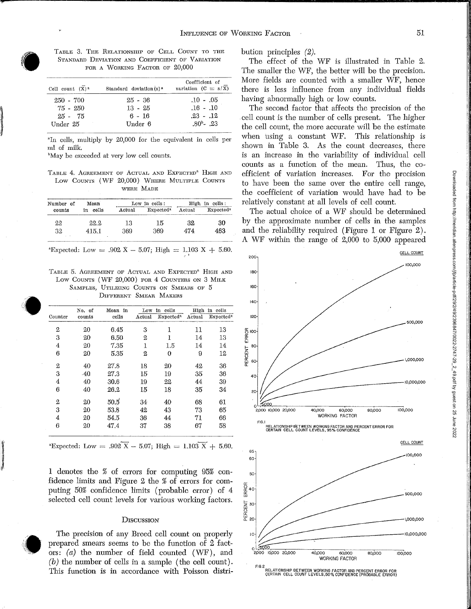

**Includes** 

TABLE 3. THE RELATIONSHIP OF CELL COUNT TO THE STANDARD DEVIATION AND COEFFICIENT OF VARIATION FOR A WORKING FACTOR OF 20,000

| Cell count $(X)^n$ | Standard deviation $(s)^n$ | Coefficient of<br>variation $(C = s/X)$ |
|--------------------|----------------------------|-----------------------------------------|
| $250 - 700$        | $25 - 36$                  | $.10 - .05$                             |
| 75 - 250           | $13 - 25$                  | $.16 - .10$                             |
| $25 - 75$          | 6 - 16                     | $.23-.12$                               |
| Under 25           | Under 6                    | $.80b - .23$                            |

"In cells, multiply by 20,000 for the equivalent in cells per ml of milk.

"May be exceeded at very low cell counts.

TABLE 4. AGHEEMENT OF ACTUAL AND EXPECTED" HIGH AND Low COUNTS (WF 20,000) WHERE MULTIPLE COUNTS WERE MADE

| Number of | Mean        |        | Low in cells:         |        | High in cells:               |
|-----------|-------------|--------|-----------------------|--------|------------------------------|
| counts    | cells<br>in | Actual | Expected <sup>a</sup> | Actual | <b>Expected</b> <sup>8</sup> |
| 22        | 22.2        | 13     | 15                    | 32     | 30                           |
| 32        | 415.1       | 369    | 369                   | 474    | 463                          |

"Expected: Low = .902  $\text{X} - 5.07$ ; High = 1.103 X + 5.60.

TABLE 5. AGREEMENT OF ACTUAL AND EXPECTED<sup>®</sup> HIGH AND Low COUNTS (WF 20,000) FOR 4 COUNTERS ON 3 MILK SAMPLES, UTILIZING COUNTS ON SMEARS OF 5 DIFFERENT SMEAR MAKERS

|         | No. of | Mean<br>in | Low    | in cells              | High   | in cells                     |
|---------|--------|------------|--------|-----------------------|--------|------------------------------|
| Counter | counts | cells      | Actual | Expected <sup>a</sup> | Actual | <b>Expected</b> <sup>a</sup> |
| 2       | 20     | 6.45       | 3      | 1                     | 11     | 13                           |
| 3       | 20     | 6.50       | 2      | 1                     | 14     | 13                           |
| 4       | 20     | 7.35       | 1      | 1.5                   | 14     | 14                           |
| 6       | 20     | 5.35       | 2      | 0                     | 9      | 12                           |
| 2       | 40     | 27.8       | 18     | 20                    | 42     | 36                           |
| 3       | $-40$  | 27.3       | 15     | 19                    | 35     | 36                           |
| 4       | 40     | 30.6       | 19     | 22                    | 44     | 39                           |
| 6       | 40     | 26.2       | 15     | 18                    | 35     | 34                           |
| 2       | 20     | 50,5       | 34     | 40                    | 68     | 61                           |
| 3       | 20     | 53.8       | 42     | 43                    | 73     | 65                           |
| 4       | 20     | 54.5       | 36     | 44                    | 71     | 66                           |
| 6       | 20     | 47.4       | 37     | 38                    | 67     | 58                           |

"Expected: Low = .902
$$
\overline{X}
$$
 - 5.07; High = 1.103 $\overline{X}$  + 5.60.

1 denotes the % of errors for computing 95% confidence limits and Figure 2 the % of errors for computing 50% confidence limits (probable error) of 4 selected cell count levels for various working factors.

### **DISCUSSION**

The precision of any Breed cell count on properly prepared smears seems to be the function of 2 factors: (a) the number of field counted (WF), and (b) the number of cells in a sample (the cell count). This function is in accordance with Poisson distribution principles (2).

The effect of the WF is illustrated in Table 2. The smaller the WF, the better will be the precision. More fields are counted with a smaller WF, hence there is less influence from any individual fields having abnormally high or low counts.

The second factor that affects the precision of the cell count is the number of cells present. The higher the cell count, the more accurate will be the estimate when using a constant WF. This relationship is shown in Table 3. As the count decreases, there is an increase in the variability of individual cell counts as a function of the mean. Thus, the coefficient of variation increases. For the precision to have been the same over the entire cell range, the coefficient of variation would have had to be relatively constant at all levels of cell count.

The actual choice of a WF should be determined by the approximate number of cells in the samples and the reliability required (Figure 1 or Figure 2) . A WF within the range of 2,000 to 5,000 appeared



RELATIONSHIP BETWEEN WORKING FACTOR AND PERCENT ERROR FOR<br>CERTAIN CELL COUNT LEVELS,50% CONFIDENCE (PROBABLE ERROR)